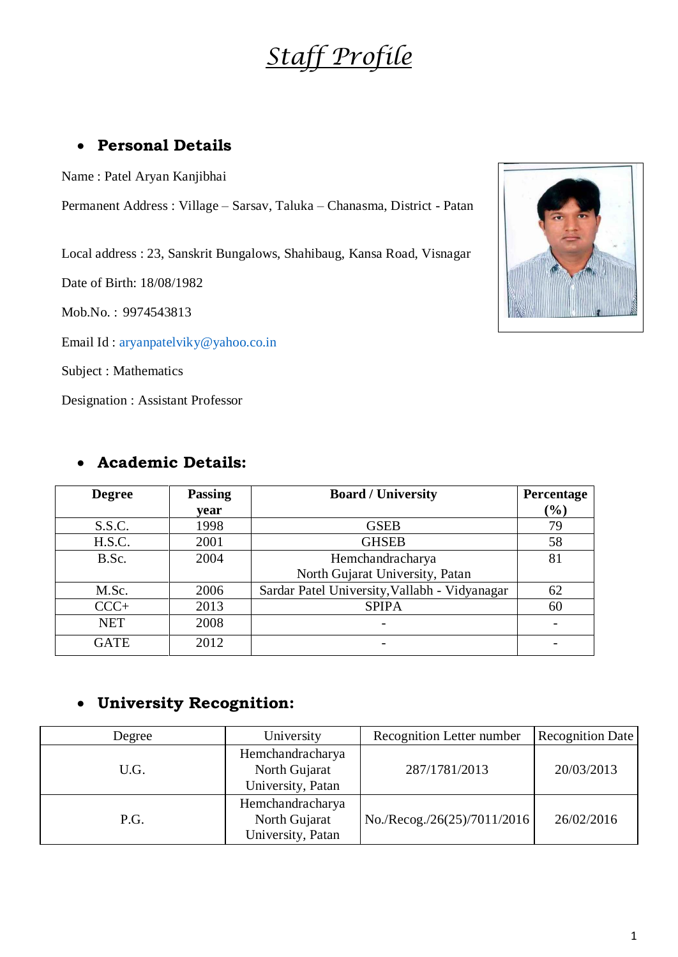# *Staff Profile*

# **Personal Details**

Name : Patel Aryan Kanjibhai

Permanent Address : Village – Sarsav, Taluka – Chanasma, District - Patan

Local address : 23, Sanskrit Bungalows, Shahibaug, Kansa Road, Visnagar

Date of Birth: 18/08/1982

Mob.No. : 9974543813

Email Id : [aryanpatelviky@yahoo.co.in](mailto:aryanpatelviky@yahoo.co.in)

Subject : Mathematics

Designation : Assistant Professor

| <b>Academic Details:</b> |  |
|--------------------------|--|
|--------------------------|--|

| <b>Degree</b> | <b>Passing</b> | <b>Board / University</b>                     | Percentage    |
|---------------|----------------|-----------------------------------------------|---------------|
|               | year           |                                               | $\frac{9}{6}$ |
| S.S.C.        | 1998           | <b>GSEB</b>                                   | 79            |
| H.S.C.        | 2001           | <b>GHSEB</b>                                  | 58            |
| B.Sc.         | 2004           | Hemchandracharya                              | 81            |
|               |                | North Gujarat University, Patan               |               |
| M.Sc.         | 2006           | Sardar Patel University, Vallabh - Vidyanagar | 62            |
| $CCC+$        | 2013           | <b>SPIPA</b>                                  | 60            |
| <b>NET</b>    | 2008           |                                               |               |
| <b>GATE</b>   | 2012           | $\overline{\phantom{a}}$                      |               |

# **University Recognition:**

| Degree | University                                             | Recognition Letter number   | <b>Recognition Date</b> |
|--------|--------------------------------------------------------|-----------------------------|-------------------------|
| U.G.   | Hemchandracharya<br>North Gujarat<br>University, Patan | 287/1781/2013               | 20/03/2013              |
| P.G.   | Hemchandracharya<br>North Gujarat<br>University, Patan | No./Recog./26(25)/7011/2016 | 26/02/2016              |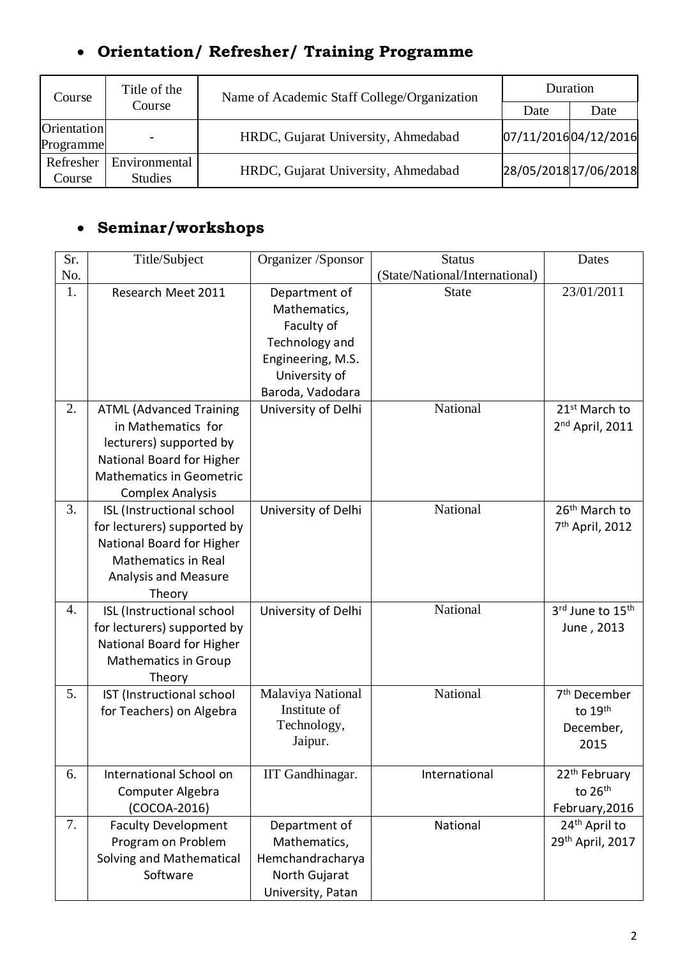# **Orientation/ Refresher/ Training Programme**

| Course                          | Title of the                    | Name of Academic Staff College/Organization | Duration              |      |
|---------------------------------|---------------------------------|---------------------------------------------|-----------------------|------|
|                                 | Course                          |                                             | Date                  | Date |
| <b>Orientation</b><br>Programme |                                 | HRDC, Gujarat University, Ahmedabad         | 07/11/201604/12/2016  |      |
| Refresher<br>Course             | Environmental<br><b>Studies</b> | HRDC, Gujarat University, Ahmedabad         | 28/05/2018 17/06/2018 |      |

# **Seminar/workshops**

| Sr. | Title/Subject                   | Organizer /Sponsor                | <b>Status</b>                  | Dates                       |
|-----|---------------------------------|-----------------------------------|--------------------------------|-----------------------------|
| No. |                                 |                                   | (State/National/International) |                             |
| 1.  | Research Meet 2011              | Department of                     | <b>State</b>                   | 23/01/2011                  |
|     |                                 | Mathematics,                      |                                |                             |
|     |                                 | Faculty of                        |                                |                             |
|     |                                 | Technology and                    |                                |                             |
|     |                                 | Engineering, M.S.                 |                                |                             |
|     |                                 | University of                     |                                |                             |
|     |                                 | Baroda, Vadodara                  |                                |                             |
| 2.  | <b>ATML (Advanced Training</b>  | University of Delhi               | National                       | 21 <sup>st</sup> March to   |
|     | in Mathematics for              |                                   |                                | 2 <sup>nd</sup> April, 2011 |
|     | lecturers) supported by         |                                   |                                |                             |
|     | National Board for Higher       |                                   |                                |                             |
|     | <b>Mathematics in Geometric</b> |                                   |                                |                             |
|     | <b>Complex Analysis</b>         |                                   |                                |                             |
| 3.  | ISL (Instructional school       | University of Delhi               | National                       | 26 <sup>th</sup> March to   |
|     | for lecturers) supported by     |                                   |                                | 7 <sup>th</sup> April, 2012 |
|     | National Board for Higher       |                                   |                                |                             |
|     | <b>Mathematics in Real</b>      |                                   |                                |                             |
|     | <b>Analysis and Measure</b>     |                                   |                                |                             |
|     | Theory                          |                                   |                                |                             |
| 4.  | ISL (Instructional school       | University of Delhi               | National                       | 3rd June to 15th            |
|     | for lecturers) supported by     |                                   |                                | June, 2013                  |
|     | National Board for Higher       |                                   |                                |                             |
|     | <b>Mathematics in Group</b>     |                                   |                                |                             |
|     | Theory                          |                                   |                                |                             |
| 5.  | IST (Instructional school       | Malaviya National<br>Institute of | National                       | 7 <sup>th</sup> December    |
|     | for Teachers) on Algebra        | Technology,                       |                                | to 19th                     |
|     |                                 | Jaipur.                           |                                | December,                   |
|     |                                 |                                   |                                | 2015                        |
| 6.  | International School on         | IIT Gandhinagar.                  | International                  | 22 <sup>th</sup> February   |
|     | Computer Algebra                |                                   |                                | to 26th                     |
|     | (COCOA-2016)                    |                                   |                                | February, 2016              |
| 7.  | <b>Faculty Development</b>      | Department of                     | National                       | 24 <sup>th</sup> April to   |
|     | Program on Problem              | Mathematics,                      |                                | 29th April, 2017            |
|     | Solving and Mathematical        | Hemchandracharya                  |                                |                             |
|     | Software                        | North Gujarat                     |                                |                             |
|     |                                 | University, Patan                 |                                |                             |